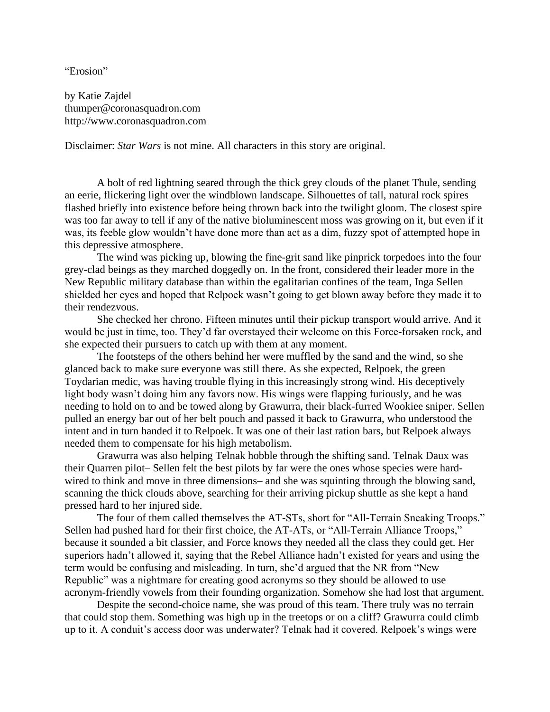"Erosion"

by Katie Zajdel thumper@coronasquadron.com http://www.coronasquadron.com

Disclaimer: *Star Wars* is not mine. All characters in this story are original.

A bolt of red lightning seared through the thick grey clouds of the planet Thule, sending an eerie, flickering light over the windblown landscape. Silhouettes of tall, natural rock spires flashed briefly into existence before being thrown back into the twilight gloom. The closest spire was too far away to tell if any of the native bioluminescent moss was growing on it, but even if it was, its feeble glow wouldn't have done more than act as a dim, fuzzy spot of attempted hope in this depressive atmosphere.

The wind was picking up, blowing the fine-grit sand like pinprick torpedoes into the four grey-clad beings as they marched doggedly on. In the front, considered their leader more in the New Republic military database than within the egalitarian confines of the team, Inga Sellen shielded her eyes and hoped that Relpoek wasn't going to get blown away before they made it to their rendezvous.

She checked her chrono. Fifteen minutes until their pickup transport would arrive. And it would be just in time, too. They'd far overstayed their welcome on this Force-forsaken rock, and she expected their pursuers to catch up with them at any moment.

The footsteps of the others behind her were muffled by the sand and the wind, so she glanced back to make sure everyone was still there. As she expected, Relpoek, the green Toydarian medic, was having trouble flying in this increasingly strong wind. His deceptively light body wasn't doing him any favors now. His wings were flapping furiously, and he was needing to hold on to and be towed along by Grawurra, their black-furred Wookiee sniper. Sellen pulled an energy bar out of her belt pouch and passed it back to Grawurra, who understood the intent and in turn handed it to Relpoek. It was one of their last ration bars, but Relpoek always needed them to compensate for his high metabolism.

Grawurra was also helping Telnak hobble through the shifting sand. Telnak Daux was their Quarren pilot– Sellen felt the best pilots by far were the ones whose species were hardwired to think and move in three dimensions– and she was squinting through the blowing sand, scanning the thick clouds above, searching for their arriving pickup shuttle as she kept a hand pressed hard to her injured side.

The four of them called themselves the AT-STs, short for "All-Terrain Sneaking Troops." Sellen had pushed hard for their first choice, the AT-ATs, or "All-Terrain Alliance Troops," because it sounded a bit classier, and Force knows they needed all the class they could get. Her superiors hadn't allowed it, saying that the Rebel Alliance hadn't existed for years and using the term would be confusing and misleading. In turn, she'd argued that the NR from "New Republic" was a nightmare for creating good acronyms so they should be allowed to use acronym-friendly vowels from their founding organization. Somehow she had lost that argument.

Despite the second-choice name, she was proud of this team. There truly was no terrain that could stop them. Something was high up in the treetops or on a cliff? Grawurra could climb up to it. A conduit's access door was underwater? Telnak had it covered. Relpoek's wings were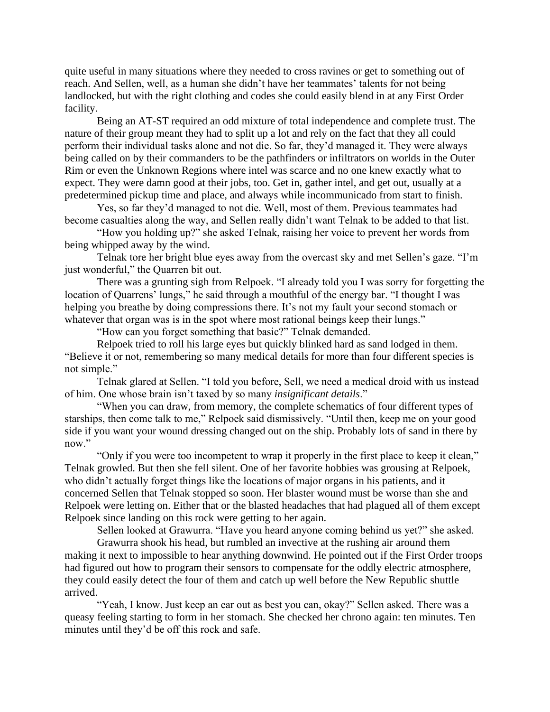quite useful in many situations where they needed to cross ravines or get to something out of reach. And Sellen, well, as a human she didn't have her teammates' talents for not being landlocked, but with the right clothing and codes she could easily blend in at any First Order facility.

Being an AT-ST required an odd mixture of total independence and complete trust. The nature of their group meant they had to split up a lot and rely on the fact that they all could perform their individual tasks alone and not die. So far, they'd managed it. They were always being called on by their commanders to be the pathfinders or infiltrators on worlds in the Outer Rim or even the Unknown Regions where intel was scarce and no one knew exactly what to expect. They were damn good at their jobs, too. Get in, gather intel, and get out, usually at a predetermined pickup time and place, and always while incommunicado from start to finish.

Yes, so far they'd managed to not die. Well, most of them. Previous teammates had become casualties along the way, and Sellen really didn't want Telnak to be added to that list.

"How you holding up?" she asked Telnak, raising her voice to prevent her words from being whipped away by the wind.

Telnak tore her bright blue eyes away from the overcast sky and met Sellen's gaze. "I'm just wonderful," the Quarren bit out.

There was a grunting sigh from Relpoek. "I already told you I was sorry for forgetting the location of Quarrens' lungs," he said through a mouthful of the energy bar. "I thought I was helping you breathe by doing compressions there. It's not my fault your second stomach or whatever that organ was is in the spot where most rational beings keep their lungs."

"How can you forget something that basic?" Telnak demanded.

Relpoek tried to roll his large eyes but quickly blinked hard as sand lodged in them. "Believe it or not, remembering so many medical details for more than four different species is not simple."

Telnak glared at Sellen. "I told you before, Sell, we need a medical droid with us instead of him. One whose brain isn't taxed by so many *insignificant details*."

"When you can draw, from memory, the complete schematics of four different types of starships, then come talk to me," Relpoek said dismissively. "Until then, keep me on your good side if you want your wound dressing changed out on the ship. Probably lots of sand in there by now."

"Only if you were too incompetent to wrap it properly in the first place to keep it clean," Telnak growled. But then she fell silent. One of her favorite hobbies was grousing at Relpoek, who didn't actually forget things like the locations of major organs in his patients, and it concerned Sellen that Telnak stopped so soon. Her blaster wound must be worse than she and Relpoek were letting on. Either that or the blasted headaches that had plagued all of them except Relpoek since landing on this rock were getting to her again.

Sellen looked at Grawurra. "Have you heard anyone coming behind us yet?" she asked.

Grawurra shook his head, but rumbled an invective at the rushing air around them making it next to impossible to hear anything downwind. He pointed out if the First Order troops had figured out how to program their sensors to compensate for the oddly electric atmosphere, they could easily detect the four of them and catch up well before the New Republic shuttle arrived.

"Yeah, I know. Just keep an ear out as best you can, okay?" Sellen asked. There was a queasy feeling starting to form in her stomach. She checked her chrono again: ten minutes. Ten minutes until they'd be off this rock and safe.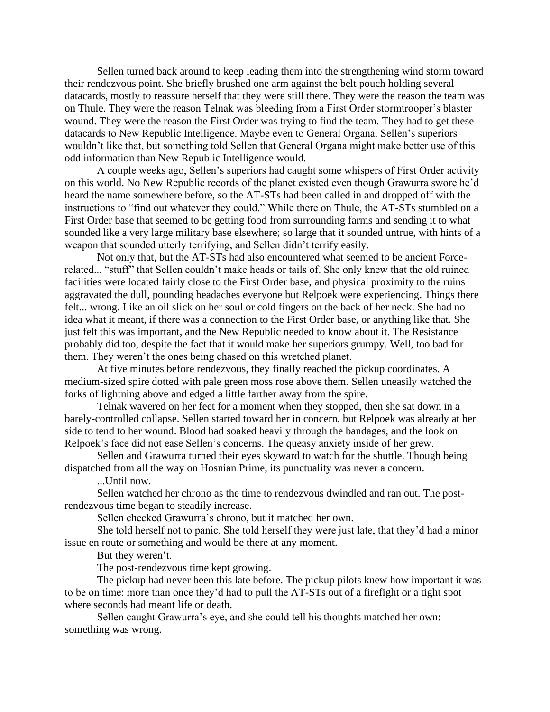Sellen turned back around to keep leading them into the strengthening wind storm toward their rendezvous point. She briefly brushed one arm against the belt pouch holding several datacards, mostly to reassure herself that they were still there. They were the reason the team was on Thule. They were the reason Telnak was bleeding from a First Order stormtrooper's blaster wound. They were the reason the First Order was trying to find the team. They had to get these datacards to New Republic Intelligence. Maybe even to General Organa. Sellen's superiors wouldn't like that, but something told Sellen that General Organa might make better use of this odd information than New Republic Intelligence would.

A couple weeks ago, Sellen's superiors had caught some whispers of First Order activity on this world. No New Republic records of the planet existed even though Grawurra swore he'd heard the name somewhere before, so the AT-STs had been called in and dropped off with the instructions to "find out whatever they could." While there on Thule, the AT-STs stumbled on a First Order base that seemed to be getting food from surrounding farms and sending it to what sounded like a very large military base elsewhere; so large that it sounded untrue, with hints of a weapon that sounded utterly terrifying, and Sellen didn't terrify easily.

Not only that, but the AT-STs had also encountered what seemed to be ancient Forcerelated... "stuff" that Sellen couldn't make heads or tails of. She only knew that the old ruined facilities were located fairly close to the First Order base, and physical proximity to the ruins aggravated the dull, pounding headaches everyone but Relpoek were experiencing. Things there felt... wrong. Like an oil slick on her soul or cold fingers on the back of her neck. She had no idea what it meant, if there was a connection to the First Order base, or anything like that. She just felt this was important, and the New Republic needed to know about it. The Resistance probably did too, despite the fact that it would make her superiors grumpy. Well, too bad for them. They weren't the ones being chased on this wretched planet.

At five minutes before rendezvous, they finally reached the pickup coordinates. A medium-sized spire dotted with pale green moss rose above them. Sellen uneasily watched the forks of lightning above and edged a little farther away from the spire.

Telnak wavered on her feet for a moment when they stopped, then she sat down in a barely-controlled collapse. Sellen started toward her in concern, but Relpoek was already at her side to tend to her wound. Blood had soaked heavily through the bandages, and the look on Relpoek's face did not ease Sellen's concerns. The queasy anxiety inside of her grew.

Sellen and Grawurra turned their eyes skyward to watch for the shuttle. Though being dispatched from all the way on Hosnian Prime, its punctuality was never a concern.

...Until now.

Sellen watched her chrono as the time to rendezvous dwindled and ran out. The postrendezvous time began to steadily increase.

Sellen checked Grawurra's chrono, but it matched her own.

She told herself not to panic. She told herself they were just late, that they'd had a minor issue en route or something and would be there at any moment.

But they weren't.

The post-rendezvous time kept growing.

The pickup had never been this late before. The pickup pilots knew how important it was to be on time: more than once they'd had to pull the AT-STs out of a firefight or a tight spot where seconds had meant life or death.

Sellen caught Grawurra's eye, and she could tell his thoughts matched her own: something was wrong.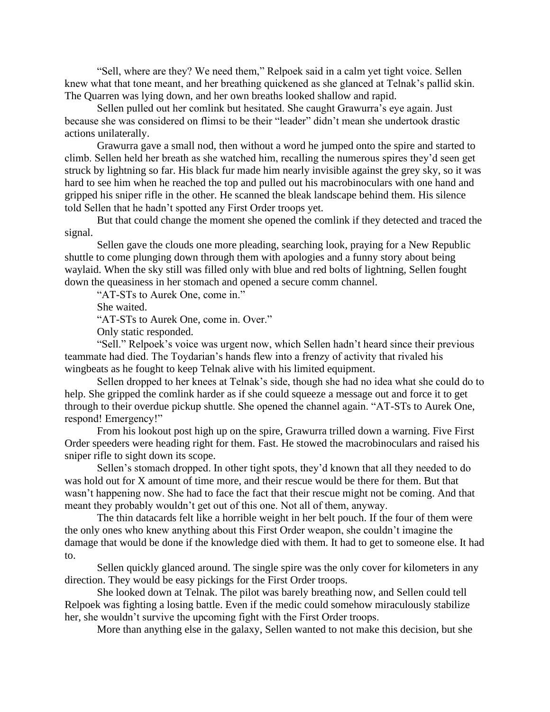"Sell, where are they? We need them," Relpoek said in a calm yet tight voice. Sellen knew what that tone meant, and her breathing quickened as she glanced at Telnak's pallid skin. The Quarren was lying down, and her own breaths looked shallow and rapid.

Sellen pulled out her comlink but hesitated. She caught Grawurra's eye again. Just because she was considered on flimsi to be their "leader" didn't mean she undertook drastic actions unilaterally.

Grawurra gave a small nod, then without a word he jumped onto the spire and started to climb. Sellen held her breath as she watched him, recalling the numerous spires they'd seen get struck by lightning so far. His black fur made him nearly invisible against the grey sky, so it was hard to see him when he reached the top and pulled out his macrobinoculars with one hand and gripped his sniper rifle in the other. He scanned the bleak landscape behind them. His silence told Sellen that he hadn't spotted any First Order troops yet.

But that could change the moment she opened the comlink if they detected and traced the signal.

Sellen gave the clouds one more pleading, searching look, praying for a New Republic shuttle to come plunging down through them with apologies and a funny story about being waylaid. When the sky still was filled only with blue and red bolts of lightning, Sellen fought down the queasiness in her stomach and opened a secure comm channel.

"AT-STs to Aurek One, come in."

She waited.

"AT-STs to Aurek One, come in. Over."

Only static responded.

"Sell." Relpoek's voice was urgent now, which Sellen hadn't heard since their previous teammate had died. The Toydarian's hands flew into a frenzy of activity that rivaled his wingbeats as he fought to keep Telnak alive with his limited equipment.

Sellen dropped to her knees at Telnak's side, though she had no idea what she could do to help. She gripped the comlink harder as if she could squeeze a message out and force it to get through to their overdue pickup shuttle. She opened the channel again. "AT-STs to Aurek One, respond! Emergency!"

From his lookout post high up on the spire, Grawurra trilled down a warning. Five First Order speeders were heading right for them. Fast. He stowed the macrobinoculars and raised his sniper rifle to sight down its scope.

Sellen's stomach dropped. In other tight spots, they'd known that all they needed to do was hold out for X amount of time more, and their rescue would be there for them. But that wasn't happening now. She had to face the fact that their rescue might not be coming. And that meant they probably wouldn't get out of this one. Not all of them, anyway.

The thin datacards felt like a horrible weight in her belt pouch. If the four of them were the only ones who knew anything about this First Order weapon, she couldn't imagine the damage that would be done if the knowledge died with them. It had to get to someone else. It had to.

Sellen quickly glanced around. The single spire was the only cover for kilometers in any direction. They would be easy pickings for the First Order troops.

She looked down at Telnak. The pilot was barely breathing now, and Sellen could tell Relpoek was fighting a losing battle. Even if the medic could somehow miraculously stabilize her, she wouldn't survive the upcoming fight with the First Order troops.

More than anything else in the galaxy, Sellen wanted to not make this decision, but she